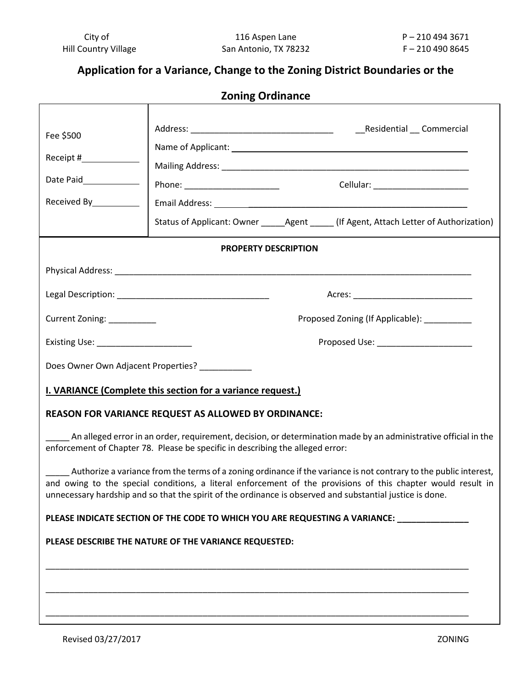# **Application for a Variance, Change to the Zoning District Boundaries or the**

**Zoning Ordinance**

| Fee \$500                                                                                                                                                                                         |                                                                                                           |  |                                                                                                                                                                                                                                   |  |
|---------------------------------------------------------------------------------------------------------------------------------------------------------------------------------------------------|-----------------------------------------------------------------------------------------------------------|--|-----------------------------------------------------------------------------------------------------------------------------------------------------------------------------------------------------------------------------------|--|
| Receipt #_____________                                                                                                                                                                            |                                                                                                           |  |                                                                                                                                                                                                                                   |  |
| Date Paid                                                                                                                                                                                         |                                                                                                           |  |                                                                                                                                                                                                                                   |  |
| Received By___________                                                                                                                                                                            |                                                                                                           |  | Cellular: ________________________                                                                                                                                                                                                |  |
|                                                                                                                                                                                                   |                                                                                                           |  | Status of Applicant: Owner ______ Agent _____ (If Agent, Attach Letter of Authorization)                                                                                                                                          |  |
|                                                                                                                                                                                                   |                                                                                                           |  |                                                                                                                                                                                                                                   |  |
| <b>PROPERTY DESCRIPTION</b>                                                                                                                                                                       |                                                                                                           |  |                                                                                                                                                                                                                                   |  |
|                                                                                                                                                                                                   |                                                                                                           |  |                                                                                                                                                                                                                                   |  |
|                                                                                                                                                                                                   |                                                                                                           |  |                                                                                                                                                                                                                                   |  |
| Current Zoning: __________                                                                                                                                                                        |                                                                                                           |  | Proposed Zoning (If Applicable): _________                                                                                                                                                                                        |  |
| Proposed Use: _____________________                                                                                                                                                               |                                                                                                           |  |                                                                                                                                                                                                                                   |  |
|                                                                                                                                                                                                   | Does Owner Own Adjacent Properties? __________                                                            |  |                                                                                                                                                                                                                                   |  |
| I. VARIANCE (Complete this section for a variance request.)                                                                                                                                       |                                                                                                           |  |                                                                                                                                                                                                                                   |  |
| REASON FOR VARIANCE REQUEST AS ALLOWED BY ORDINANCE:                                                                                                                                              |                                                                                                           |  |                                                                                                                                                                                                                                   |  |
| An alleged error in an order, requirement, decision, or determination made by an administrative official in the<br>enforcement of Chapter 78. Please be specific in describing the alleged error: |                                                                                                           |  |                                                                                                                                                                                                                                   |  |
|                                                                                                                                                                                                   | unnecessary hardship and so that the spirit of the ordinance is observed and substantial justice is done. |  | Authorize a variance from the terms of a zoning ordinance if the variance is not contrary to the public interest,<br>and owing to the special conditions, a literal enforcement of the provisions of this chapter would result in |  |
| PLEASE INDICATE SECTION OF THE CODE TO WHICH YOU ARE REQUESTING A VARIANCE: ________________________                                                                                              |                                                                                                           |  |                                                                                                                                                                                                                                   |  |
| PLEASE DESCRIBE THE NATURE OF THE VARIANCE REQUESTED:                                                                                                                                             |                                                                                                           |  |                                                                                                                                                                                                                                   |  |
|                                                                                                                                                                                                   |                                                                                                           |  |                                                                                                                                                                                                                                   |  |
|                                                                                                                                                                                                   |                                                                                                           |  |                                                                                                                                                                                                                                   |  |
|                                                                                                                                                                                                   |                                                                                                           |  |                                                                                                                                                                                                                                   |  |
|                                                                                                                                                                                                   |                                                                                                           |  |                                                                                                                                                                                                                                   |  |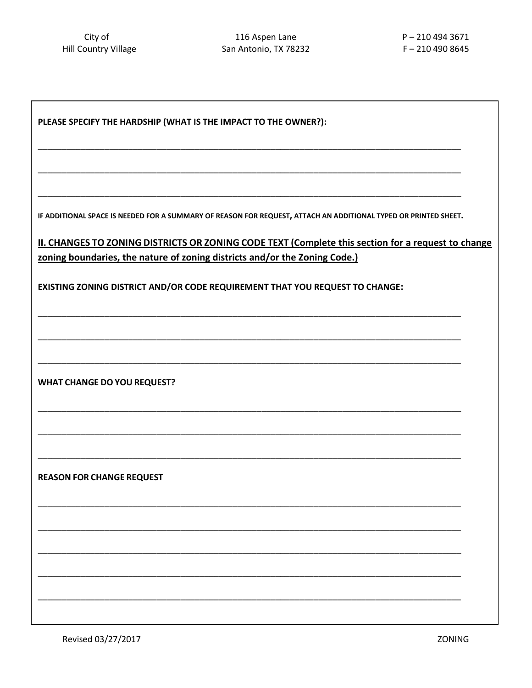| PLEASE SPECIFY THE HARDSHIP (WHAT IS THE IMPACT TO THE OWNER?):                                                 |  |  |  |
|-----------------------------------------------------------------------------------------------------------------|--|--|--|
|                                                                                                                 |  |  |  |
|                                                                                                                 |  |  |  |
| IF ADDITIONAL SPACE IS NEEDED FOR A SUMMARY OF REASON FOR REQUEST, ATTACH AN ADDITIONAL TYPED OR PRINTED SHEET. |  |  |  |
| II. CHANGES TO ZONING DISTRICTS OR ZONING CODE TEXT (Complete this section for a request to change              |  |  |  |
| zoning boundaries, the nature of zoning districts and/or the Zoning Code.)                                      |  |  |  |
| EXISTING ZONING DISTRICT AND/OR CODE REQUIREMENT THAT YOU REQUEST TO CHANGE:                                    |  |  |  |
|                                                                                                                 |  |  |  |
|                                                                                                                 |  |  |  |
| <b>WHAT CHANGE DO YOU REQUEST?</b>                                                                              |  |  |  |
|                                                                                                                 |  |  |  |
|                                                                                                                 |  |  |  |
| <b>REASON FOR CHANGE REQUEST</b>                                                                                |  |  |  |
|                                                                                                                 |  |  |  |
|                                                                                                                 |  |  |  |
|                                                                                                                 |  |  |  |
|                                                                                                                 |  |  |  |
|                                                                                                                 |  |  |  |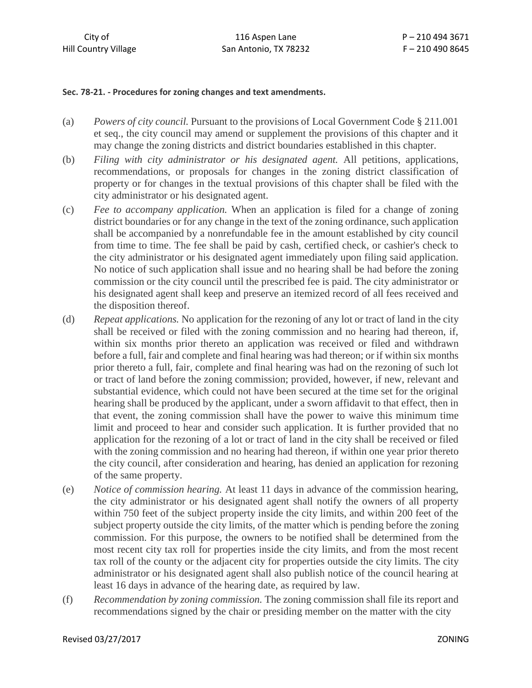### **Sec. 78-21. - Procedures for zoning changes and text amendments.**

- (a) *Powers of city council.* Pursuant to the provisions of Local Government Code § 211.001 et seq., the city council may amend or supplement the provisions of this chapter and it may change the zoning districts and district boundaries established in this chapter.
- (b) *Filing with city administrator or his designated agent.* All petitions, applications, recommendations, or proposals for changes in the zoning district classification of property or for changes in the textual provisions of this chapter shall be filed with the city administrator or his designated agent.
- (c) *Fee to accompany application.* When an application is filed for a change of zoning district boundaries or for any change in the text of the zoning ordinance, such application shall be accompanied by a nonrefundable fee in the amount established by city council from time to time. The fee shall be paid by cash, certified check, or cashier's check to the city administrator or his designated agent immediately upon filing said application. No notice of such application shall issue and no hearing shall be had before the zoning commission or the city council until the prescribed fee is paid. The city administrator or his designated agent shall keep and preserve an itemized record of all fees received and the disposition thereof.
- (d) *Repeat applications.* No application for the rezoning of any lot or tract of land in the city shall be received or filed with the zoning commission and no hearing had thereon, if, within six months prior thereto an application was received or filed and withdrawn before a full, fair and complete and final hearing was had thereon; or if within six months prior thereto a full, fair, complete and final hearing was had on the rezoning of such lot or tract of land before the zoning commission; provided, however, if new, relevant and substantial evidence, which could not have been secured at the time set for the original hearing shall be produced by the applicant, under a sworn affidavit to that effect, then in that event, the zoning commission shall have the power to waive this minimum time limit and proceed to hear and consider such application. It is further provided that no application for the rezoning of a lot or tract of land in the city shall be received or filed with the zoning commission and no hearing had thereon, if within one year prior thereto the city council, after consideration and hearing, has denied an application for rezoning of the same property.
- (e) *Notice of commission hearing.* At least 11 days in advance of the commission hearing, the city administrator or his designated agent shall notify the owners of all property within 750 feet of the subject property inside the city limits, and within 200 feet of the subject property outside the city limits, of the matter which is pending before the zoning commission. For this purpose, the owners to be notified shall be determined from the most recent city tax roll for properties inside the city limits, and from the most recent tax roll of the county or the adjacent city for properties outside the city limits. The city administrator or his designated agent shall also publish notice of the council hearing at least 16 days in advance of the hearing date, as required by law.
- (f) *Recommendation by zoning commission.* The zoning commission shall file its report and recommendations signed by the chair or presiding member on the matter with the city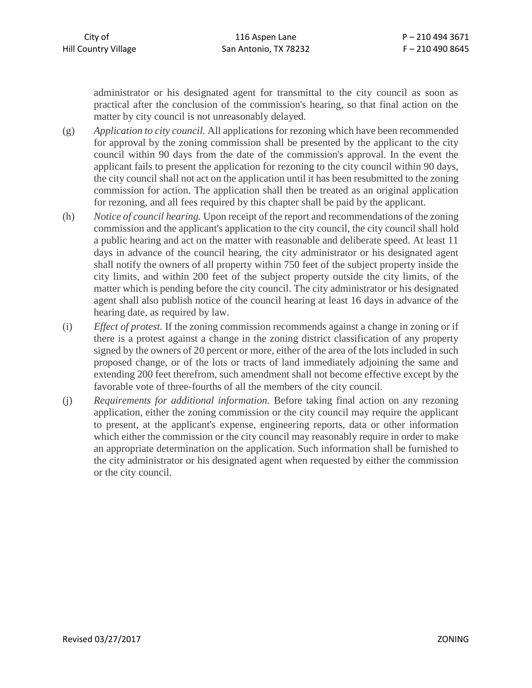administrator or his designated agent for transmittal to the city council as soon as practical after the conclusion of the commission's hearing, so that final action on the matter by city council is not unreasonably delayed.

- (g) *Application to city council.* All applications for rezoning which have been recommended for approval by the zoning commission shall be presented by the applicant to the city council within 90 days from the date of the commission's approval. In the event the applicant fails to present the application for rezoning to the city council within 90 days, the city council shall not act on the application until it has been resubmitted to the zoning commission for action. The application shall then be treated as an original application for rezoning, and all fees required by this chapter shall be paid by the applicant.
- (h) *Notice of council hearing.* Upon receipt of the report and recommendations of the zoning commission and the applicant's application to the city council, the city council shall hold a public hearing and act on the matter with reasonable and deliberate speed. At least 11 days in advance of the council hearing, the city administrator or his designated agent shall notify the owners of all property within 750 feet of the subject property inside the city limits, and within 200 feet of the subject property outside the city limits, of the matter which is pending before the city council. The city administrator or his designated agent shall also publish notice of the council hearing at least 16 days in advance of the hearing date, as required by law.
- (i) *Effect of protest.* If the zoning commission recommends against a change in zoning or if there is a protest against a change in the zoning district classification of any property signed by the owners of 20 percent or more, either of the area of the lots included in such proposed change, or of the lots or tracts of land immediately adjoining the same and extending 200 feet therefrom, such amendment shall not become effective except by the favorable vote of three-fourths of all the members of the city council.
- (j) *Requirements for additional information.* Before taking final action on any rezoning application, either the zoning commission or the city council may require the applicant to present, at the applicant's expense, engineering reports, data or other information which either the commission or the city council may reasonably require in order to make an appropriate determination on the application. Such information shall be furnished to the city administrator or his designated agent when requested by either the commission or the city council.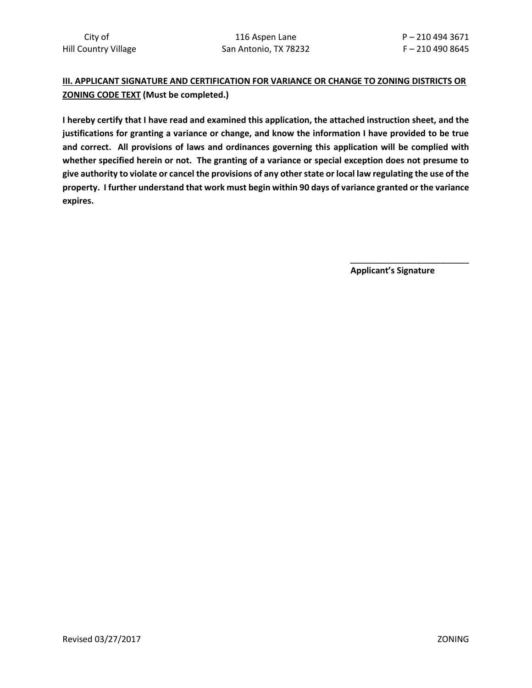## **III. APPLICANT SIGNATURE AND CERTIFICATION FOR VARIANCE OR CHANGE TO ZONING DISTRICTS OR ZONING CODE TEXT (Must be completed.)**

**I hereby certify that I have read and examined this application, the attached instruction sheet, and the justifications for granting a variance or change, and know the information I have provided to be true and correct. All provisions of laws and ordinances governing this application will be complied with whether specified herein or not. The granting of a variance or special exception does not presume to give authority to violate or cancel the provisions of any other state or local law regulating the use of the property. I further understand that work must begin within 90 days of variance granted or the variance expires.**

 **Applicant's Signature**

**\_\_\_\_\_\_\_\_\_\_\_\_\_\_\_\_\_\_\_\_\_\_\_\_\_**